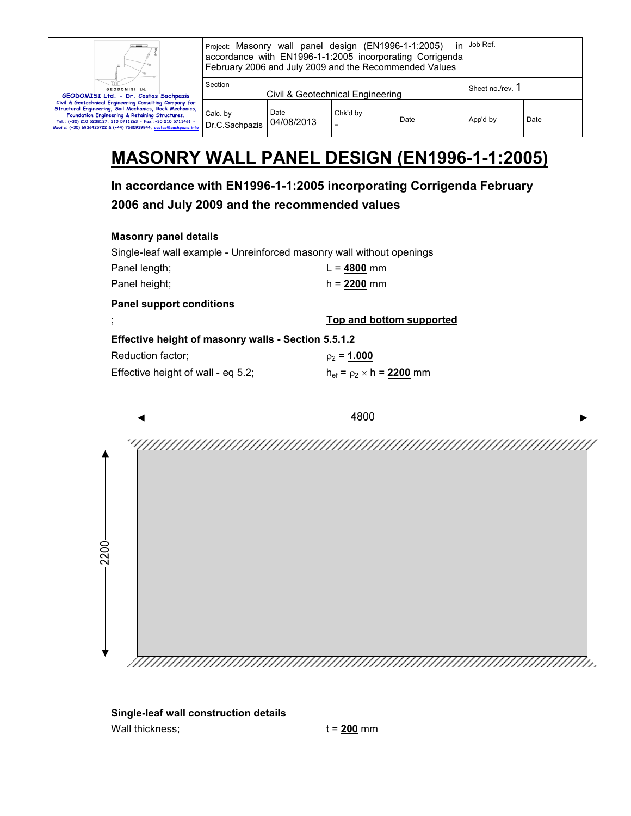| Ш.<br>GEODOMISI Ltd.<br>GEODOMISI Ltd. - Dr. Costas Sachpazis<br>Civil & Geotechnical Engineering Consulting Company for<br>Structural Engineering, Soil Mechanics, Rock Mechanics,<br>Foundation Engineering & Retaining Structures.<br>Tel.: (+30) 210 5238127, 210 5711263 - Fax.:+30 210 5711461 -<br>Mobile: (+30) 6936425722 & (+44) 7585939944, costas@sachpazis.info | Project: Masonry wall panel design (EN1996-1-1:2005)<br>accordance with EN1996-1-1:2005 incorporating Corrigenda<br>February 2006 and July 2009 and the Recommended Values |                    |                                  |      | in Job Ref.    |      |
|------------------------------------------------------------------------------------------------------------------------------------------------------------------------------------------------------------------------------------------------------------------------------------------------------------------------------------------------------------------------------|----------------------------------------------------------------------------------------------------------------------------------------------------------------------------|--------------------|----------------------------------|------|----------------|------|
|                                                                                                                                                                                                                                                                                                                                                                              | Section                                                                                                                                                                    |                    | Civil & Geotechnical Engineering |      | Sheet no./rev. |      |
|                                                                                                                                                                                                                                                                                                                                                                              | Calc. by<br>Dr.C.Sachpazis                                                                                                                                                 | Date<br>04/08/2013 | Chk'd by<br>۰                    | Date | App'd by       | Date |

## **MASONRY WALL PANEL DESIGN (EN1996-1-1:2005)**

**In accordance with EN1996-1-1:2005 incorporating Corrigenda February 2006 and July 2009 and the recommended values** 

| <b>Masonry panel details</b> |  |  |
|------------------------------|--|--|
|------------------------------|--|--|

| Single-leaf wall example - Unreinforced masonry wall without openings |                          |
|-----------------------------------------------------------------------|--------------------------|
| Panel length;                                                         | $L = 4800$ mm            |
| Panel height;                                                         | $h = 2200$ mm            |
| <b>Panel support conditions</b>                                       |                          |
|                                                                       | Top and bottom supported |
|                                                                       |                          |
| Effective height of masonry walls - Section 5.5.1.2                   |                          |
| Reduction factor;                                                     | $p_2 = 1.000$            |

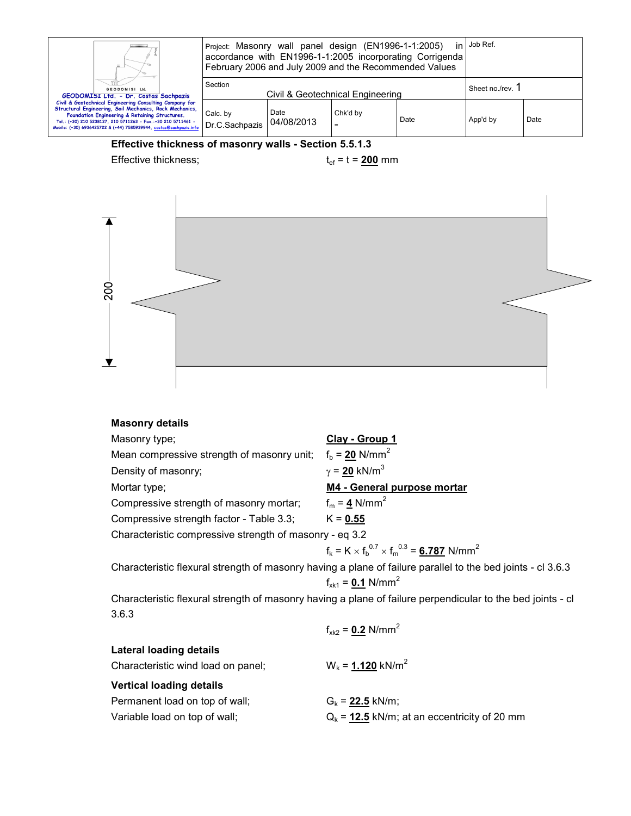|                                                                                                                                                                                                                                                                                                             | in ∣Job Ref.<br>Project: Masonry wall panel design (EN1996-1-1:2005)<br>accordance with EN1996-1-1:2005 incorporating Corrigenda<br>February 2006 and July 2009 and the Recommended Values |                     |                                  |      |                |      |
|-------------------------------------------------------------------------------------------------------------------------------------------------------------------------------------------------------------------------------------------------------------------------------------------------------------|--------------------------------------------------------------------------------------------------------------------------------------------------------------------------------------------|---------------------|----------------------------------|------|----------------|------|
| GEODOMISI Ltd.<br>GEODOMISI Ltd. - Dr. Costas Sachpazis                                                                                                                                                                                                                                                     | Section                                                                                                                                                                                    |                     | Civil & Geotechnical Engineering |      | Sheet no./rev. |      |
| Civil & Geotechnical Engineering Consulting Company for<br>Structural Engineering, Soil Mechanics, Rock Mechanics,<br>Foundation Engineering & Retaining Structures.<br>Tel.: (+30) 210 5238127, 210 5711263 - Fax.:+30 210 5711461 -<br>Mobile: (+30) 6936425722 & (+44) 7585939944, costas@sachpazis.info | Calc. by<br>Dr.C.Sachpazis                                                                                                                                                                 | Date<br>104/08/2013 | Chk'd by<br>-                    | Date | App'd by       | Date |

## **Effective thickness of masonry walls - Section 5.5.1.3**

Effective thickness;  $t_{ef} = t = 200$  mm



| <b>Masonry details</b>                                  |                                                                                                             |
|---------------------------------------------------------|-------------------------------------------------------------------------------------------------------------|
| Masonry type;                                           | Clay - Group 1                                                                                              |
| Mean compressive strength of masonry unit;              | $f_b = 20$ N/mm <sup>2</sup>                                                                                |
| Density of masonry;                                     | $\gamma$ = 20 kN/m <sup>3</sup>                                                                             |
| Mortar type;                                            | M4 - General purpose mortar                                                                                 |
| Compressive strength of masonry mortar;                 | $f_m = 4$ N/mm <sup>2</sup>                                                                                 |
| Compressive strength factor - Table 3.3;                | $K = 0.55$                                                                                                  |
| Characteristic compressive strength of masonry - eq 3.2 |                                                                                                             |
|                                                         | $f_k = K \times f_h^{0.7} \times f_m^{0.3} = 6.787$ N/mm <sup>2</sup>                                       |
|                                                         | Characteristic flexural strength of masonry having a plane of failure parallel to the bed joints - cl 3.6.3 |
|                                                         | $f_{x_{k1}} = 0.1$ N/mm <sup>2</sup>                                                                        |
|                                                         | Characteristic flexural strength of masonry having a plane of failure perpendicular to the bed joints - cl  |
| 3.6.3                                                   |                                                                                                             |
|                                                         | $f_{xk2} = 0.2$ N/mm <sup>2</sup>                                                                           |
| <b>Lateral loading details</b>                          |                                                                                                             |
| Characteristic wind load on panel;                      | $W_k = 1.120$ kN/m <sup>2</sup>                                                                             |
| <b>Vertical loading details</b>                         |                                                                                                             |
| Permanent load on top of wall;                          | $G_k = 22.5$ kN/m;                                                                                          |
| Variable load on top of wall;                           | $Q_k = 12.5$ kN/m; at an eccentricity of 20 mm                                                              |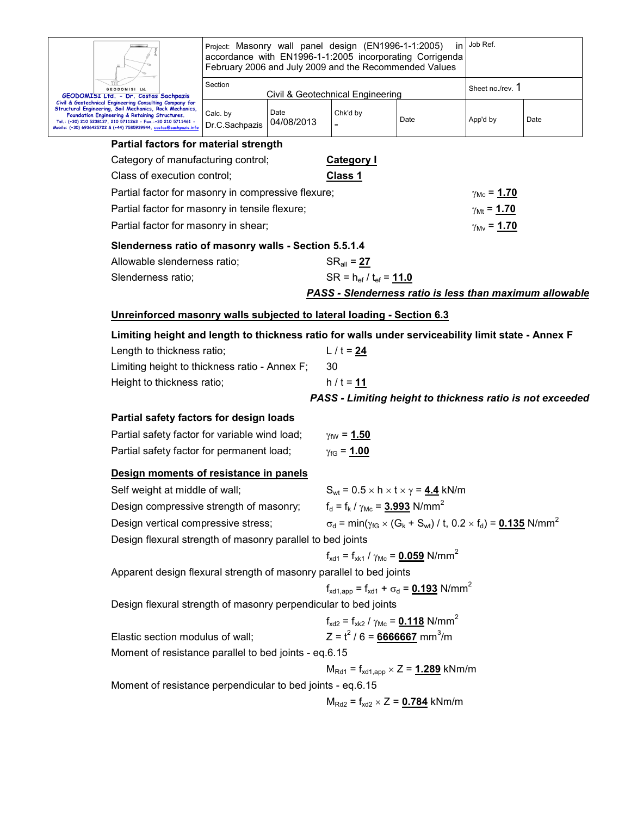|                                                                                                                                                                                                                                                                                                            | Project: Masonry wall panel design (EN1996-1-1:2005)<br>in.<br>accordance with EN1996-1-1:2005 incorporating Corrigenda<br>February 2006 and July 2009 and the Recommended Values |                    |                                                                               |                                                                                                                                    |                             |      |
|------------------------------------------------------------------------------------------------------------------------------------------------------------------------------------------------------------------------------------------------------------------------------------------------------------|-----------------------------------------------------------------------------------------------------------------------------------------------------------------------------------|--------------------|-------------------------------------------------------------------------------|------------------------------------------------------------------------------------------------------------------------------------|-----------------------------|------|
| GEODOMISI Ltd.<br>GEODOMISI Ltd. - Dr. Costas Sachpazis                                                                                                                                                                                                                                                    | Section                                                                                                                                                                           |                    | Civil & Geotechnical Engineering                                              |                                                                                                                                    | Sheet no./rev. 1            |      |
| Civil & Geotechnical Engineering Consulting Company for<br>Structural Engineering, Soil Mechanics, Rock Mechanics,<br>Foundation Engineering & Retaining Structures.<br>Tel.: (+30) 210 5238127, 210 5711263 - Fax.:+30 210 5711461 -<br>Mobile: (+30) 6936425722 & (+44) 7585939944, costas@sachpazis.inf | Calc. by<br>Dr.C.Sachpazis                                                                                                                                                        | Date<br>04/08/2013 | Chk'd by                                                                      | Date                                                                                                                               | App'd by                    | Date |
| Partial factors for material strength                                                                                                                                                                                                                                                                      |                                                                                                                                                                                   |                    |                                                                               |                                                                                                                                    |                             |      |
| Category of manufacturing control;                                                                                                                                                                                                                                                                         |                                                                                                                                                                                   |                    | <b>Category I</b>                                                             |                                                                                                                                    |                             |      |
| Class of execution control;                                                                                                                                                                                                                                                                                |                                                                                                                                                                                   |                    | Class 1                                                                       |                                                                                                                                    |                             |      |
| Partial factor for masonry in compressive flexure;                                                                                                                                                                                                                                                         |                                                                                                                                                                                   |                    |                                                                               |                                                                                                                                    | $\gamma_{\text{Mc}} = 1.70$ |      |
| Partial factor for masonry in tensile flexure;                                                                                                                                                                                                                                                             |                                                                                                                                                                                   |                    |                                                                               |                                                                                                                                    | $\gamma_{\rm Mt} = 1.70$    |      |
| Partial factor for masonry in shear;                                                                                                                                                                                                                                                                       |                                                                                                                                                                                   |                    |                                                                               |                                                                                                                                    | $\gamma_{\text{Mv}} = 1.70$ |      |
| Slenderness ratio of masonry walls - Section 5.5.1.4                                                                                                                                                                                                                                                       |                                                                                                                                                                                   |                    |                                                                               |                                                                                                                                    |                             |      |
| Allowable slenderness ratio;                                                                                                                                                                                                                                                                               |                                                                                                                                                                                   |                    | $SR_{all} = 27$                                                               |                                                                                                                                    |                             |      |
| Slenderness ratio;                                                                                                                                                                                                                                                                                         |                                                                                                                                                                                   |                    | $SR = h_{ef} / t_{ef} = 11.0$                                                 |                                                                                                                                    |                             |      |
|                                                                                                                                                                                                                                                                                                            |                                                                                                                                                                                   |                    |                                                                               | PASS - Slenderness ratio is less than maximum allowable                                                                            |                             |      |
| Unreinforced masonry walls subjected to lateral loading - Section 6.3                                                                                                                                                                                                                                      |                                                                                                                                                                                   |                    |                                                                               |                                                                                                                                    |                             |      |
| Limiting height and length to thickness ratio for walls under serviceability limit state - Annex F                                                                                                                                                                                                         |                                                                                                                                                                                   |                    |                                                                               |                                                                                                                                    |                             |      |
| Length to thickness ratio;                                                                                                                                                                                                                                                                                 |                                                                                                                                                                                   |                    | $L / t = 24$                                                                  |                                                                                                                                    |                             |      |
| Limiting height to thickness ratio - Annex F;                                                                                                                                                                                                                                                              |                                                                                                                                                                                   |                    | 30                                                                            |                                                                                                                                    |                             |      |
| Height to thickness ratio;                                                                                                                                                                                                                                                                                 |                                                                                                                                                                                   |                    | $h / t = 11$                                                                  |                                                                                                                                    |                             |      |
|                                                                                                                                                                                                                                                                                                            |                                                                                                                                                                                   |                    |                                                                               | PASS - Limiting height to thickness ratio is not exceeded                                                                          |                             |      |
| Partial safety factors for design loads                                                                                                                                                                                                                                                                    |                                                                                                                                                                                   |                    |                                                                               |                                                                                                                                    |                             |      |
| Partial safety factor for variable wind load;                                                                                                                                                                                                                                                              |                                                                                                                                                                                   |                    | $\gamma_{\text{fW}} = 1.50$                                                   |                                                                                                                                    |                             |      |
| Partial safety factor for permanent load;                                                                                                                                                                                                                                                                  |                                                                                                                                                                                   |                    | $\gamma_{\text{fG}} = 1.00$                                                   |                                                                                                                                    |                             |      |
| Design moments of resistance in panels                                                                                                                                                                                                                                                                     |                                                                                                                                                                                   |                    |                                                                               |                                                                                                                                    |                             |      |
| Self weight at middle of wall;                                                                                                                                                                                                                                                                             |                                                                                                                                                                                   |                    |                                                                               | $S_{wt}$ = 0.5 $\times$ h $\times$ t $\times$ $\gamma$ = 4.4 kN/m                                                                  |                             |      |
| Design compressive strength of masonry;                                                                                                                                                                                                                                                                    |                                                                                                                                                                                   |                    | $f_d = f_k / \gamma_{Mc} = 3.993$ N/mm <sup>2</sup>                           |                                                                                                                                    |                             |      |
| Design vertical compressive stress;                                                                                                                                                                                                                                                                        |                                                                                                                                                                                   |                    |                                                                               | $\sigma_d$ = min( $\gamma_{fG}$ × (G <sub>k</sub> + S <sub>wt</sub> ) / t, 0.2 × f <sub>d</sub> ) = <u>0.135</u> N/mm <sup>2</sup> |                             |      |
| Design flexural strength of masonry parallel to bed joints                                                                                                                                                                                                                                                 |                                                                                                                                                                                   |                    |                                                                               |                                                                                                                                    |                             |      |
|                                                                                                                                                                                                                                                                                                            |                                                                                                                                                                                   |                    | $f_{\text{xd1}} = f_{\text{xk1}} / \gamma_{\text{Mc}} = 0.059 \text{ N/mm}^2$ |                                                                                                                                    |                             |      |
| Apparent design flexural strength of masonry parallel to bed joints                                                                                                                                                                                                                                        |                                                                                                                                                                                   |                    |                                                                               |                                                                                                                                    |                             |      |
|                                                                                                                                                                                                                                                                                                            |                                                                                                                                                                                   |                    |                                                                               | $f_{\text{xd1,app}} = f_{\text{xd1}} + \sigma_d = 0.193 \text{ N/mm}^2$                                                            |                             |      |
| Design flexural strength of masonry perpendicular to bed joints                                                                                                                                                                                                                                            |                                                                                                                                                                                   |                    |                                                                               |                                                                                                                                    |                             |      |
|                                                                                                                                                                                                                                                                                                            |                                                                                                                                                                                   |                    | $f_{xd2} = f_{xk2} / \gamma_{Mc} = 0.118$ N/mm <sup>2</sup>                   |                                                                                                                                    |                             |      |
|                                                                                                                                                                                                                                                                                                            | $Z = t^2 / 6 = 6666667$ mm <sup>3</sup> /m<br>Elastic section modulus of wall;                                                                                                    |                    |                                                                               |                                                                                                                                    |                             |      |
| Moment of resistance parallel to bed joints - eq.6.15                                                                                                                                                                                                                                                      |                                                                                                                                                                                   |                    |                                                                               |                                                                                                                                    |                             |      |
|                                                                                                                                                                                                                                                                                                            |                                                                                                                                                                                   |                    |                                                                               | $M_{\text{Rd1}} = f_{\text{xd1,app}} \times Z = 1.289$ kNm/m                                                                       |                             |      |
| Moment of resistance perpendicular to bed joints - eq.6.15                                                                                                                                                                                                                                                 |                                                                                                                                                                                   |                    |                                                                               |                                                                                                                                    |                             |      |
|                                                                                                                                                                                                                                                                                                            | $M_{Rd2} = f_{xd2} \times Z = 0.784$ kNm/m                                                                                                                                        |                    |                                                                               |                                                                                                                                    |                             |      |
|                                                                                                                                                                                                                                                                                                            |                                                                                                                                                                                   |                    |                                                                               |                                                                                                                                    |                             |      |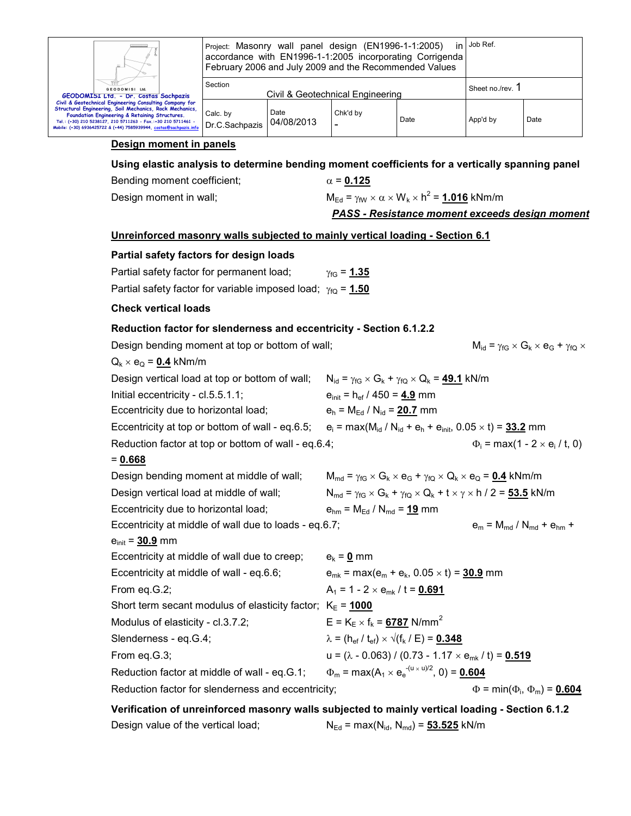

Project: Masonry wall panel design (EN1996-1-1:2005) in accordance with EN1996-1-1:2005 incorporating Corrigenda February 2006 and July 2009 and the Recommended Values Job Ref.

| GEODOMISI Ltd.<br>GEODOMISI Ltd. - Dr. Costas Sachpazis                                                                                                                                                                                                                                                     | Section                                                | Civil & Geotechnical Engineering | Sheet no./rev. |      |          |      |
|-------------------------------------------------------------------------------------------------------------------------------------------------------------------------------------------------------------------------------------------------------------------------------------------------------------|--------------------------------------------------------|----------------------------------|----------------|------|----------|------|
| Civil & Geotechnical Engineering Consulting Company for<br>Structural Engineering, Soil Mechanics, Rock Mechanics,<br>Foundation Engineering & Retaining Structures.<br>Tel.: (+30) 210 5238127, 210 5711263 - Fax.:+30 210 5711461 -<br>Mobile: (+30) 6936425722 & (+44) 7585939944, costas@sachpazis.info | Calc, by<br><sup>1</sup> I Dr.C.Sachpazis   04/08/2013 | Date                             | Chk'd by<br>-  | Date | App'd by | Date |

## **Design moment in panels**

**Using elastic analysis to determine bending moment coefficients for a vertically spanning panel** 

Bending moment coefficient;  $\alpha = 0.125$ Design moment in wall;  $M_{\text{Ed}} = \gamma_{\text{fW}} \times \alpha \times W_{\text{k}} \times h^2 = 1.016 \text{ kNm/m}$ *PASS - Resistance moment exceeds design moment* **Unreinforced masonry walls subjected to mainly vertical loading - Section 6.1 Partial safety factors for design loads**  Partial safety factor for permanent load;  $\gamma_{\text{fG}} = 1.35$ Partial safety factor for variable imposed load; γ<sub>fQ</sub> = 1.50 **Check vertical loads Reduction factor for slenderness and eccentricity - Section 6.1.2.2**  Design bending moment at top or bottom of wall;  $M_{id} = \gamma_{fG} \times G_k \times e_G + \gamma_{fQ} \times G_k$  $Q_k \times e_Q = 0.4$  kNm/m Design vertical load at top or bottom of wall;  $N_{id} = \gamma_{fG} \times G_k + \gamma_{fQ} \times Q_k = 49.1$  kN/m Initial eccentricity - cl.5.5.1.1;  $e_{\text{init}} = h_{\text{ef}} / 450 = 4.9 \text{ mm}$ Eccentricity due to horizontal load;  $e_h = M_{\text{Ed}} / N_{\text{id}} = 20.7$  mm Eccentricity at top or bottom of wall - eq.6.5;  $e_i = max(M_{id} / N_{id} + e_h + e_{init}, 0.05 \times t) = 33.2$  mm Reduction factor at top or bottom of wall - eq.6.4;  $= max(1 - 2 \times e_i / t, 0)$ = **0.668** Design bending moment at middle of wall;  $M_{\text{md}} = \gamma_{\text{fG}} \times G_k \times e_G + \gamma_{\text{fQ}} \times Q_k \times e_Q = 0.4$  kNm/m Design vertical load at middle of wall;  $N_{\text{md}} = \gamma_{\text{fG}} \times G_k + \gamma_{\text{fQ}} \times Q_k + t \times \gamma \times h / 2 = 53.5$  kN/m Eccentricity due to horizontal load;  $e_{hm} = M_{Ed} / N_{md} = 19$  mm Eccentricity at middle of wall due to loads - eq.6.7;  $e_m = M_{\text{md}} / N_{\text{md}} + e_{\text{hm}} +$  $e_{\text{init}} = 30.9 \text{ mm}$ Eccentricity at middle of wall due to creep;  $e_k = 0$  mm Eccentricity at middle of wall - eq.6.6;  $e_{mk} = max(e_m + e_k, 0.05 \times t) = 30.9$  mm From eq.G.2;  $A_1 = 1 - 2 \times e_{mk} / t = 0.691$ Short term secant modulus of elasticity factor;  $K_E = 1000$ Modulus of elasticity - cl.3.7.2;  $E = K_E \times f_k = 6787$  N/mm<sup>2</sup> Slenderness - eq.G.4;  $\lambda = (h_{\text{ef}} / t_{\text{ef}}) \times \sqrt{(f_{k} / E)} = 0.348$ From eq.G.3;  $u = (\lambda - 0.063) / (0.73 - 1.17 \times e_{mk} / t) = 0.519$ Reduction factor at middle of wall - eq.G.1;  $\Phi_m = \max(A_1 \times e_e^{-(u \times u)/2}, 0) = 0.604$ Reduction factor for slenderness and eccentricity;  $\Phi = \min(\Phi_{i}, \Phi_{m}) = 0.604$ 

**Verification of unreinforced masonry walls subjected to mainly vertical loading - Section 6.1.2**  Design value of the vertical load;  $N_{Ed} = max(N_{id}, N_{md}) = 53.525$  kN/m